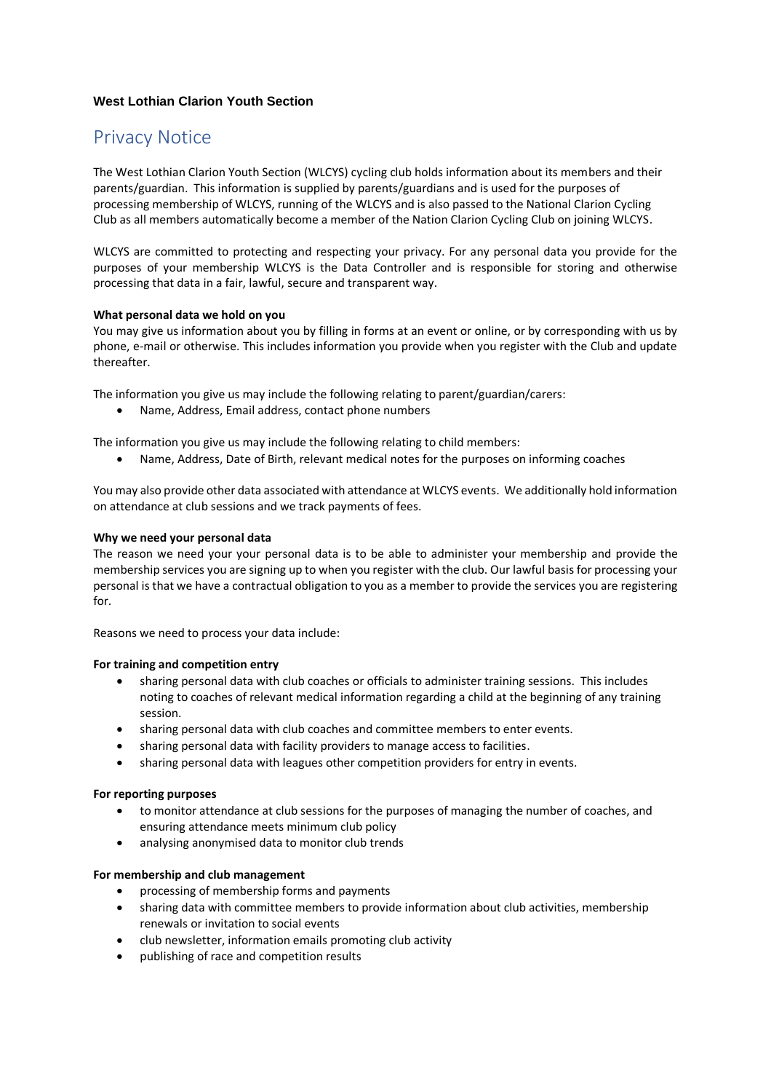## **West Lothian Clarion Youth Section**

# Privacy Notice

The West Lothian Clarion Youth Section (WLCYS) cycling club holds information about its members and their parents/guardian. This information is supplied by parents/guardians and is used for the purposes of processing membership of WLCYS, running of the WLCYS and is also passed to the National Clarion Cycling Club as all members automatically become a member of the Nation Clarion Cycling Club on joining WLCYS.

WLCYS are committed to protecting and respecting your privacy. For any personal data you provide for the purposes of your membership WLCYS is the Data Controller and is responsible for storing and otherwise processing that data in a fair, lawful, secure and transparent way.

### **What personal data we hold on you**

You may give us information about you by filling in forms at an event or online, or by corresponding with us by phone, e-mail or otherwise. This includes information you provide when you register with the Club and update thereafter.

The information you give us may include the following relating to parent/guardian/carers:

• Name, Address, Email address, contact phone numbers

The information you give us may include the following relating to child members:

• Name, Address, Date of Birth, relevant medical notes for the purposes on informing coaches

You may also provide other data associated with attendance at WLCYS events. We additionally hold information on attendance at club sessions and we track payments of fees.

### **Why we need your personal data**

The reason we need your your personal data is to be able to administer your membership and provide the membership services you are signing up to when you register with the club. Our lawful basis for processing your personal is that we have a contractual obligation to you as a member to provide the services you are registering for.

Reasons we need to process your data include:

### **For training and competition entry**

- sharing personal data with club coaches or officials to administer training sessions. This includes noting to coaches of relevant medical information regarding a child at the beginning of any training session.
- sharing personal data with club coaches and committee members to enter events.
- sharing personal data with facility providers to manage access to facilities.
- sharing personal data with leagues other competition providers for entry in events.

### **For reporting purposes**

- to monitor attendance at club sessions for the purposes of managing the number of coaches, and ensuring attendance meets minimum club policy
- analysing anonymised data to monitor club trends

### **For membership and club management**

- processing of membership forms and payments
- sharing data with committee members to provide information about club activities, membership renewals or invitation to social events
- club newsletter, information emails promoting club activity
- publishing of race and competition results